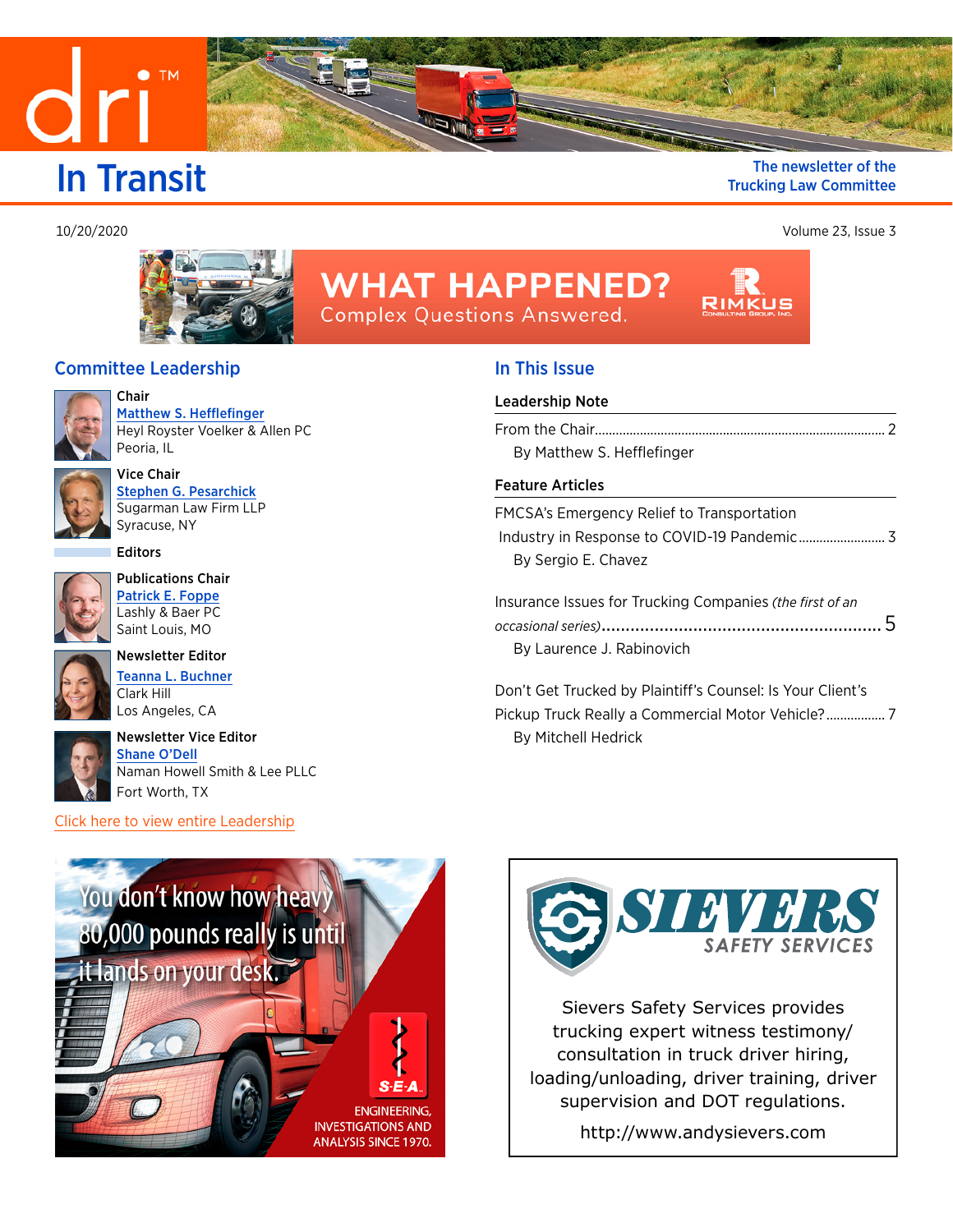<span id="page-0-0"></span>

 $\bullet$  TM

### **In Transit** The newsletter of the **Integrated** Trucking Law Committee Trucking Law Committee

10/20/2020 Volume 23, Issue 3



# **WHAT HAPPENED? Complex Questions Answered.**

## Committee Leadership

Vice Chair



Chair [Matthew S. Hefflefinger](mailto:mhefflefinger@heylroyster.com
?subject=) Heyl Royster Voelker & Allen PC Peoria, IL



[Stephen G. Pesarchick](https://members.dri.org/DRIIMIS/DRI/Contacts/ContactLayouts/Profile.aspx?ID=288245) Sugarman Law Firm LLP Syracuse, NY

**Editors** 



Publications Chair [Patrick E. Foppe](https://members.dri.org/DRIIMIS/DRI/Contacts/ContactLayouts/Profile.aspx?ID=314461) Lashly & Baer PC Saint Louis, MO



Newsletter Editor [Teanna L. Buchner](https://members.dri.org/DRIIMIS/DRI/Contacts/ContactLayouts/Profile.aspx?ID=365611) Clark Hill Los Angeles, CA



Newsletter Vice Editor Shane O'Dell Naman Howell Smith & Lee PLLC Fort Worth, TX

[Click here to view entire Leadership](https://www.dri.org/committees/leadership/0215)

# In This Issue

#### [Leadership Note](#page-1-0)

| By Matthew S. Hefflefinger |  |
|----------------------------|--|
|                            |  |
| <b>Feature Articles</b>    |  |

| FMCSA's Emergency Relief to Transportation |  |
|--------------------------------------------|--|
|                                            |  |
| By Sergio E. Chavez                        |  |

[Insurance Issues for Trucking Companies](#page-4-0) *(the first of an occasional series)*[..........................................................](#page-4-0) 5 [By Laurence J. Rabinovich](#page-4-0)

[Don't Get Trucked by Plaintiff's Counsel: Is Your Client's](#page-6-0)  [Pickup Truck Really a Commercial Motor Vehicle?.................](#page-6-0) 7 [By Mitchell Hedrick](#page-6-0)





Sievers Safety Services provides trucking expert witness testimony/ consultation in truck driver hiring, [loading/unloading, driver training, driver](http://www.andysievers.com/)  supervision and DOT regulations.

http://www.andysievers.com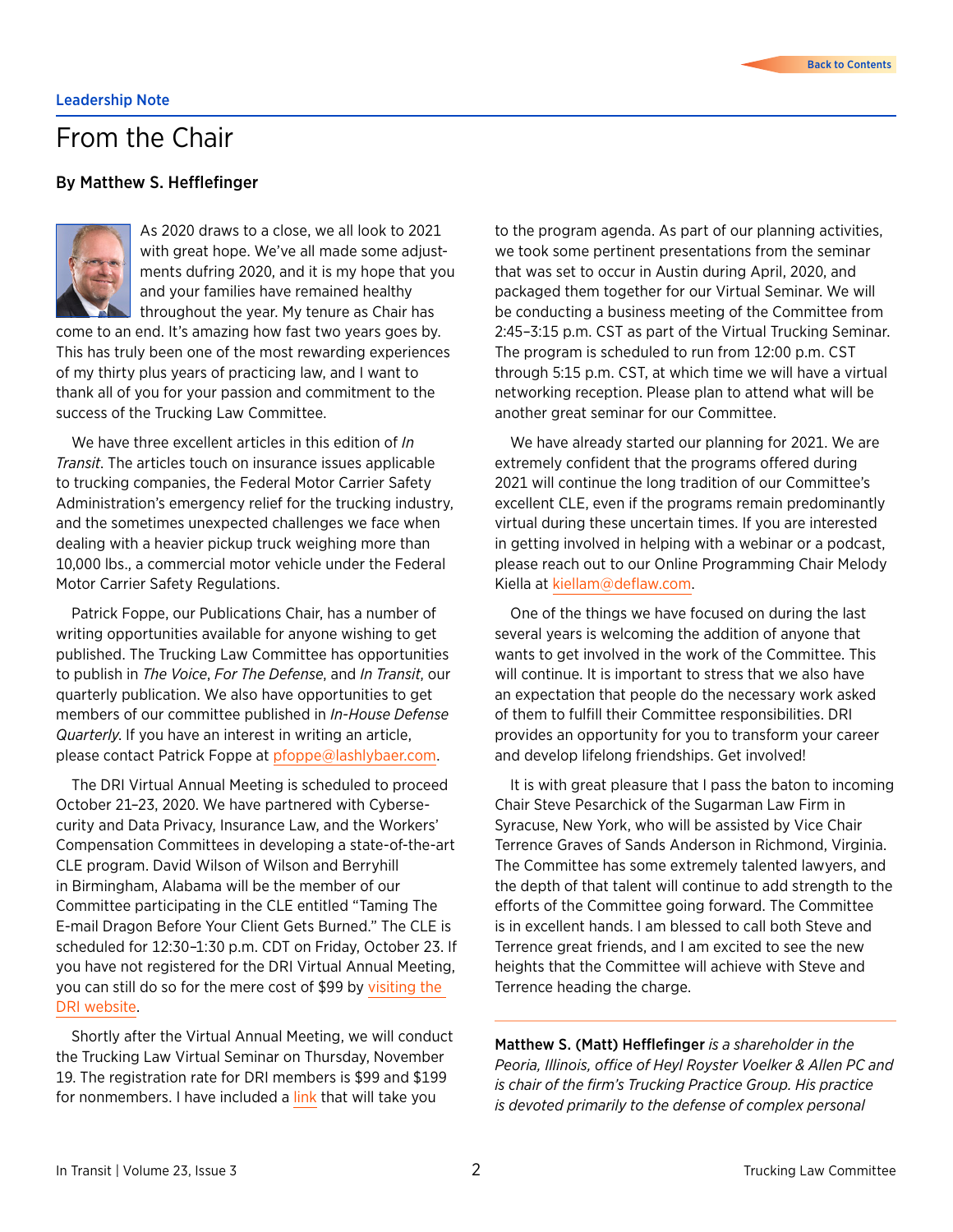# <span id="page-1-0"></span>From the Chair

### By Matthew S. Hefflefinger



As 2020 draws to a close, we all look to 2021 with great hope. We've all made some adjustments dufring 2020, and it is my hope that you and your families have remained healthy throughout the year. My tenure as Chair has

come to an end. It's amazing how fast two years goes by. This has truly been one of the most rewarding experiences of my thirty plus years of practicing law, and I want to thank all of you for your passion and commitment to the success of the Trucking Law Committee.

We have three excellent articles in this edition of *In Transit*. The articles touch on insurance issues applicable to trucking companies, the Federal Motor Carrier Safety Administration's emergency relief for the trucking industry, and the sometimes unexpected challenges we face when dealing with a heavier pickup truck weighing more than 10,000 lbs., a commercial motor vehicle under the Federal Motor Carrier Safety Regulations.

Patrick Foppe, our Publications Chair, has a number of writing opportunities available for anyone wishing to get published. The Trucking Law Committee has opportunities to publish in *The Voice*, *For The Defense*, and *In Transit*, our quarterly publication. We also have opportunities to get members of our committee published in *In-House Defense Quarterly*. If you have an interest in writing an article, please contact Patrick Foppe at [pfoppe@lashlybaer.com.](mailto:pfoppe%40lashlybaer.com?subject=)

The DRI Virtual Annual Meeting is scheduled to proceed October 21–23, 2020. We have partnered with Cybersecurity and Data Privacy, Insurance Law, and the Workers' Compensation Committees in developing a state-of-the-art CLE program. David Wilson of Wilson and Berryhill in Birmingham, Alabama will be the member of our Committee participating in the CLE entitled "Taming The E-mail Dragon Before Your Client Gets Burned." The CLE is scheduled for 12:30–1:30 p.m. CDT on Friday, October 23. If you have not registered for the DRI Virtual Annual Meeting, you can still do so for the mere cost of \$99 by [visiting the](https://members.dri.org/driimis/DRI/DRI/Events/Event_Display.aspx?EventKey=2020AM&WebsiteKey=dff610f8-3077-475c-9db6-aea95c8e4136)  [DRI website.](https://members.dri.org/driimis/DRI/DRI/Events/Event_Display.aspx?EventKey=2020AM&WebsiteKey=dff610f8-3077-475c-9db6-aea95c8e4136)

Shortly after the Virtual Annual Meeting, we will conduct the Trucking Law Virtual Seminar on Thursday, November 19. The registration rate for DRI members is \$99 and \$199 for nonmembers. I have included a [link](https://members.dri.org/driimis/DRI/DRI/Events/Event_Display.aspx?EventKey=20200215) that will take you

to the program agenda. As part of our planning activities, we took some pertinent presentations from the seminar that was set to occur in Austin during April, 2020, and packaged them together for our Virtual Seminar. We will be conducting a business meeting of the Committee from 2:45–3:15 p.m. CST as part of the Virtual Trucking Seminar. The program is scheduled to run from 12:00 p.m. CST through 5:15 p.m. CST, at which time we will have a virtual networking reception. Please plan to attend what will be another great seminar for our Committee.

We have already started our planning for 2021. We are extremely confident that the programs offered during 2021 will continue the long tradition of our Committee's excellent CLE, even if the programs remain predominantly virtual during these uncertain times. If you are interested in getting involved in helping with a webinar or a podcast, please reach out to our Online Programming Chair Melody Kiella at [kiellam@deflaw.com](mailto:kiellam%40deflaw.com?subject=).

One of the things we have focused on during the last several years is welcoming the addition of anyone that wants to get involved in the work of the Committee. This will continue. It is important to stress that we also have an expectation that people do the necessary work asked of them to fulfill their Committee responsibilities. DRI provides an opportunity for you to transform your career and develop lifelong friendships. Get involved!

It is with great pleasure that I pass the baton to incoming Chair Steve Pesarchick of the Sugarman Law Firm in Syracuse, New York, who will be assisted by Vice Chair Terrence Graves of Sands Anderson in Richmond, Virginia. The Committee has some extremely talented lawyers, and the depth of that talent will continue to add strength to the efforts of the Committee going forward. The Committee is in excellent hands. I am blessed to call both Steve and Terrence great friends, and I am excited to see the new heights that the Committee will achieve with Steve and Terrence heading the charge.

Matthew S. (Matt) Hefflefinger *is a shareholder in the Peoria, Illinois, office of Heyl Royster Voelker & Allen PC and is chair of the firm's Trucking Practice Group. His practice is devoted primarily to the defense of complex personal*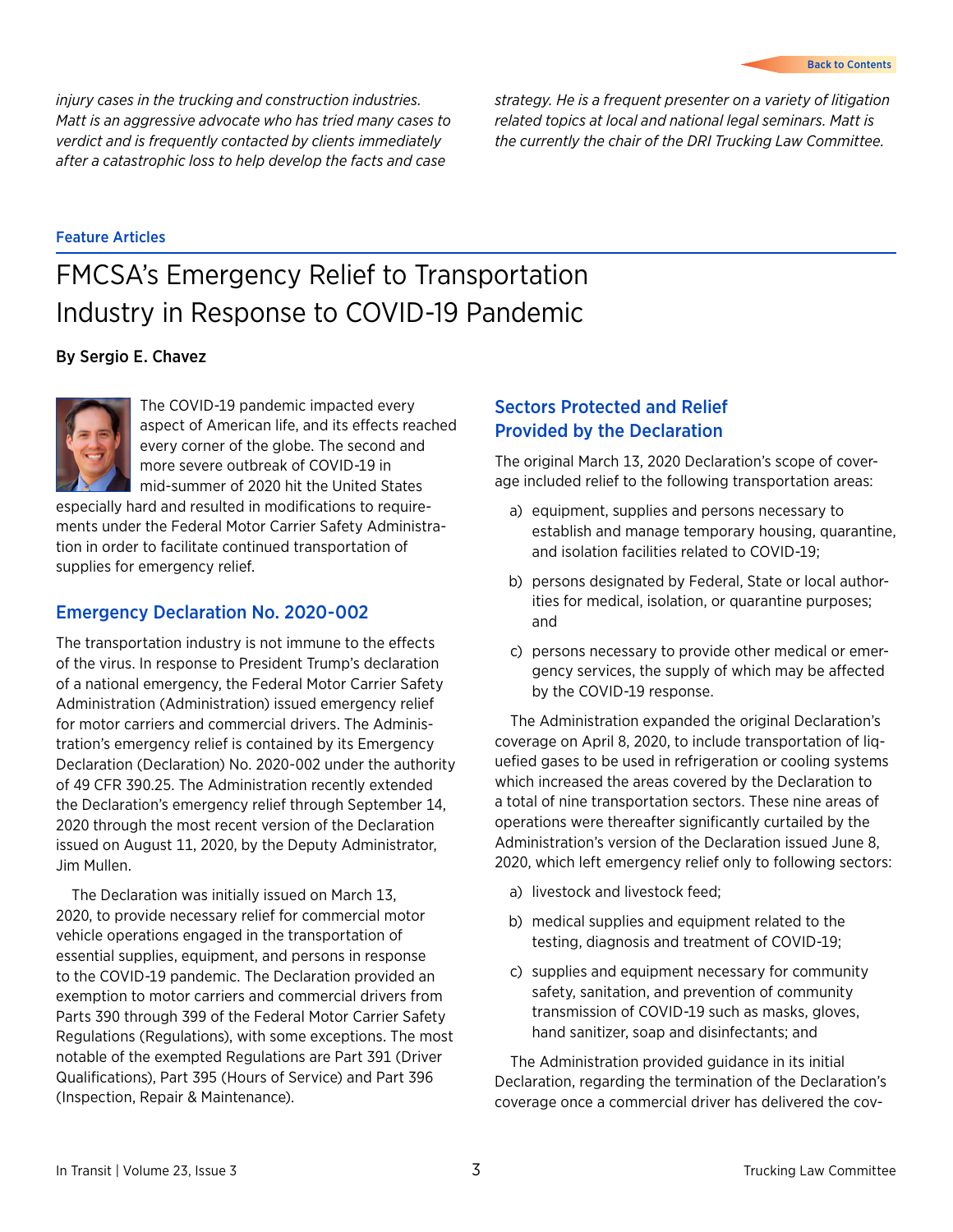<span id="page-2-0"></span>*injury cases in the trucking and construction industries. Matt is an aggressive advocate who has tried many cases to verdict and is frequently contacted by clients immediately after a catastrophic loss to help develop the facts and case* 

*strategy. He is a frequent presenter on a variety of litigation related topics at local and national legal seminars. Matt is the currently the chair of the DRI Trucking Law Committee.*

#### Feature Articles

# FMCSA's Emergency Relief to Transportation Industry in Response to COVID-19 Pandemic

### By Sergio E. Chavez



The COVID-19 pandemic impacted every aspect of American life, and its effects reached every corner of the globe. The second and more severe outbreak of COVID-19 in mid-summer of 2020 hit the United States

especially hard and resulted in modifications to requirements under the Federal Motor Carrier Safety Administration in order to facilitate continued transportation of supplies for emergency relief.

### Emergency Declaration No. 2020-002

The transportation industry is not immune to the effects of the virus. In response to President Trump's declaration of a national emergency, the Federal Motor Carrier Safety Administration (Administration) issued emergency relief for motor carriers and commercial drivers. The Administration's emergency relief is contained by its Emergency Declaration (Declaration) No. 2020-002 under the authority of 49 CFR 390.25. The Administration recently extended the Declaration's emergency relief through September 14, 2020 through the most recent version of the Declaration issued on August 11, 2020, by the Deputy Administrator, Jim Mullen.

The Declaration was initially issued on March 13, 2020, to provide necessary relief for commercial motor vehicle operations engaged in the transportation of essential supplies, equipment, and persons in response to the COVID-19 pandemic. The Declaration provided an exemption to motor carriers and commercial drivers from Parts 390 through 399 of the Federal Motor Carrier Safety Regulations (Regulations), with some exceptions. The most notable of the exempted Regulations are Part 391 (Driver Qualifications), Part 395 (Hours of Service) and Part 396 (Inspection, Repair & Maintenance).

# Sectors Protected and Relief Provided by the Declaration

The original March 13, 2020 Declaration's scope of coverage included relief to the following transportation areas:

- a) equipment, supplies and persons necessary to establish and manage temporary housing, quarantine, and isolation facilities related to COVID-19;
- b) persons designated by Federal, State or local authorities for medical, isolation, or quarantine purposes; and
- c) persons necessary to provide other medical or emergency services, the supply of which may be affected by the COVID-19 response.

The Administration expanded the original Declaration's coverage on April 8, 2020, to include transportation of liquefied gases to be used in refrigeration or cooling systems which increased the areas covered by the Declaration to a total of nine transportation sectors. These nine areas of operations were thereafter significantly curtailed by the Administration's version of the Declaration issued June 8, 2020, which left emergency relief only to following sectors:

- a) livestock and livestock feed;
- b) medical supplies and equipment related to the testing, diagnosis and treatment of COVID-19;
- c) supplies and equipment necessary for community safety, sanitation, and prevention of community transmission of COVID-19 such as masks, gloves, hand sanitizer, soap and disinfectants; and

The Administration provided guidance in its initial Declaration, regarding the termination of the Declaration's coverage once a commercial driver has delivered the cov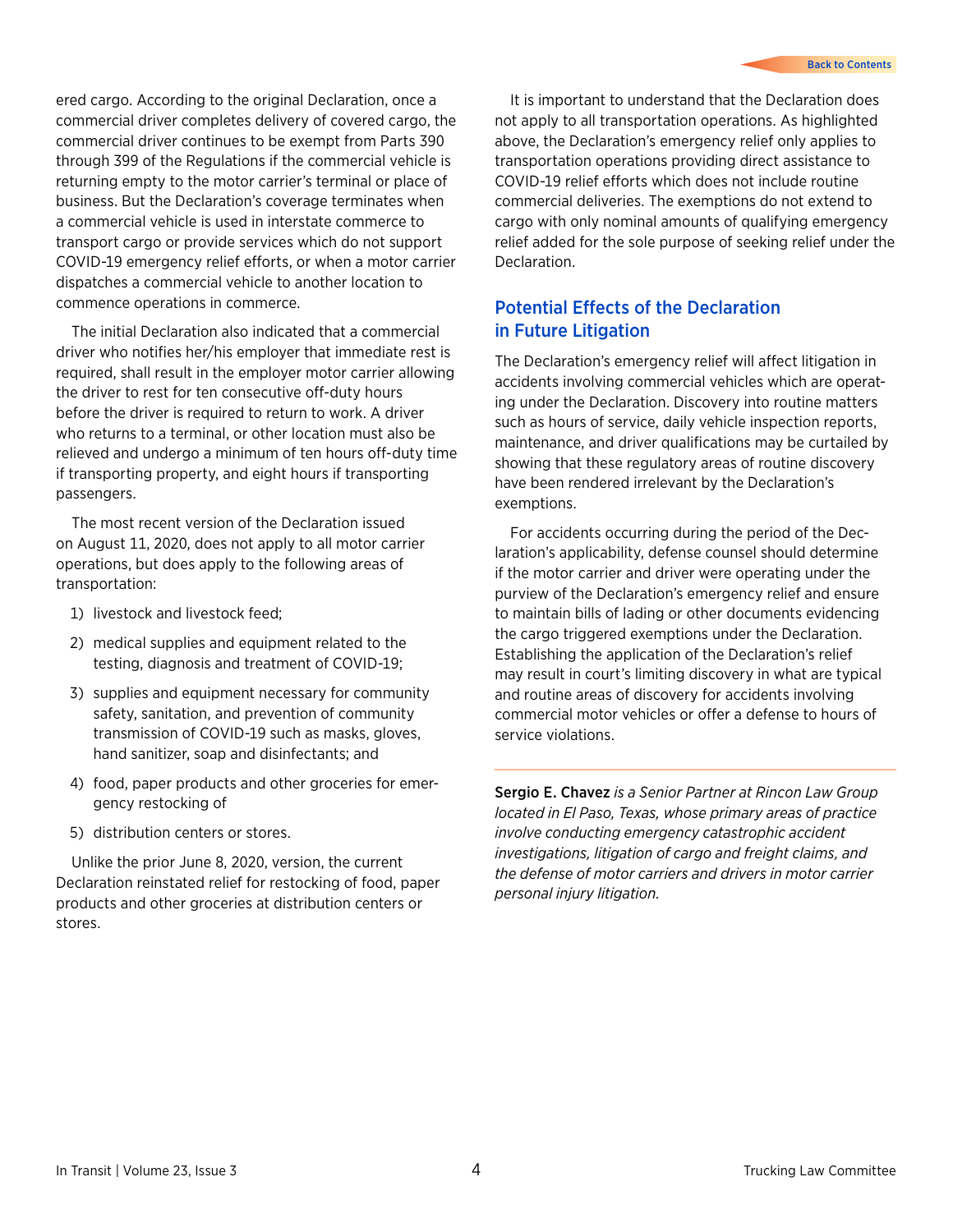ered cargo. According to the original Declaration, once a commercial driver completes delivery of covered cargo, the commercial driver continues to be exempt from Parts 390 through 399 of the Regulations if the commercial vehicle is returning empty to the motor carrier's terminal or place of business. But the Declaration's coverage terminates when a commercial vehicle is used in interstate commerce to transport cargo or provide services which do not support COVID-19 emergency relief efforts, or when a motor carrier dispatches a commercial vehicle to another location to commence operations in commerce.

The initial Declaration also indicated that a commercial driver who notifies her/his employer that immediate rest is required, shall result in the employer motor carrier allowing the driver to rest for ten consecutive off-duty hours before the driver is required to return to work. A driver who returns to a terminal, or other location must also be relieved and undergo a minimum of ten hours off-duty time if transporting property, and eight hours if transporting passengers.

The most recent version of the Declaration issued on August 11, 2020, does not apply to all motor carrier operations, but does apply to the following areas of transportation:

- 1) livestock and livestock feed;
- 2) medical supplies and equipment related to the testing, diagnosis and treatment of COVID-19;
- 3) supplies and equipment necessary for community safety, sanitation, and prevention of community transmission of COVID-19 such as masks, gloves, hand sanitizer, soap and disinfectants; and
- 4) food, paper products and other groceries for emergency restocking of
- 5) distribution centers or stores.

Unlike the prior June 8, 2020, version, the current Declaration reinstated relief for restocking of food, paper products and other groceries at distribution centers or stores.

It is important to understand that the Declaration does not apply to all transportation operations. As highlighted above, the Declaration's emergency relief only applies to transportation operations providing direct assistance to COVID-19 relief efforts which does not include routine commercial deliveries. The exemptions do not extend to cargo with only nominal amounts of qualifying emergency relief added for the sole purpose of seeking relief under the Declaration.

# Potential Effects of the Declaration in Future Litigation

The Declaration's emergency relief will affect litigation in accidents involving commercial vehicles which are operating under the Declaration. Discovery into routine matters such as hours of service, daily vehicle inspection reports, maintenance, and driver qualifications may be curtailed by showing that these regulatory areas of routine discovery have been rendered irrelevant by the Declaration's exemptions.

For accidents occurring during the period of the Declaration's applicability, defense counsel should determine if the motor carrier and driver were operating under the purview of the Declaration's emergency relief and ensure to maintain bills of lading or other documents evidencing the cargo triggered exemptions under the Declaration. Establishing the application of the Declaration's relief may result in court's limiting discovery in what are typical and routine areas of discovery for accidents involving commercial motor vehicles or offer a defense to hours of service violations.

Sergio E. Chavez *is a Senior Partner at Rincon Law Group located in El Paso, Texas, whose primary areas of practice involve conducting emergency catastrophic accident investigations, litigation of cargo and freight claims, and the defense of motor carriers and drivers in motor carrier personal injury litigation.*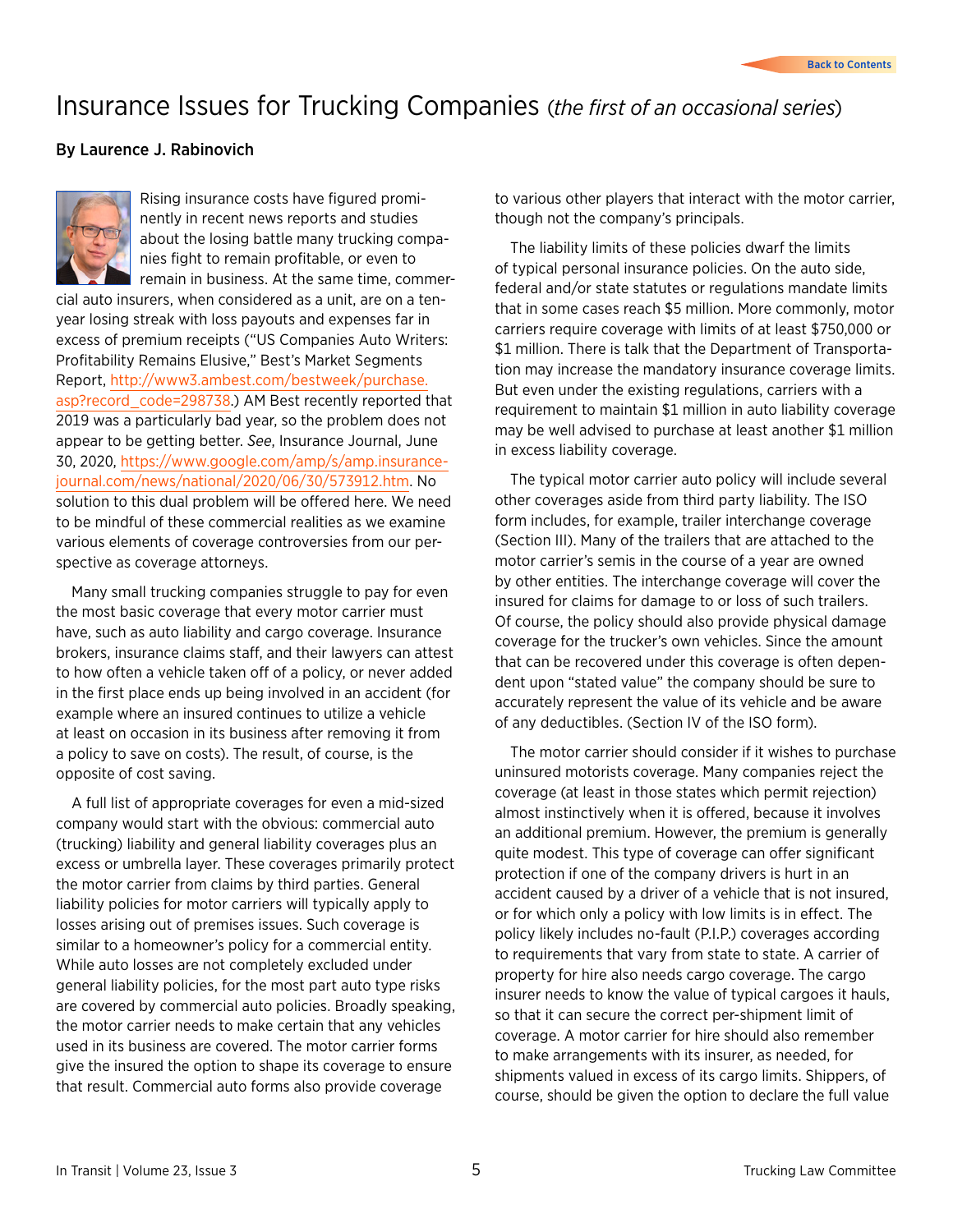# <span id="page-4-0"></span>Insurance Issues for Trucking Companies (*the first of an occasional series*)

### By Laurence J. Rabinovich



Rising insurance costs have figured prominently in recent news reports and studies about the losing battle many trucking companies fight to remain profitable, or even to remain in business. At the same time, commer-

cial auto insurers, when considered as a unit, are on a tenyear losing streak with loss payouts and expenses far in excess of premium receipts ("US Companies Auto Writers: Profitability Remains Elusive," Best's Market Segments Report, [http://www3.ambest.com/bestweek/purchase.](http://www3.ambest.com/bestweek/purchase.asp?record_code=298738) [asp?record\\_code=298738](http://www3.ambest.com/bestweek/purchase.asp?record_code=298738).) AM Best recently reported that 2019 was a particularly bad year, so the problem does not appear to be getting better. *See*, Insurance Journal, June 30, 2020, [https://www.google.com/amp/s/amp.insurance](https://www.google.com/amp/s/amp.insurancejournal.com/news/national/2020/06/30/573912.htm)[journal.com/news/national/2020/06/30/573912.htm](https://www.google.com/amp/s/amp.insurancejournal.com/news/national/2020/06/30/573912.htm). No solution to this dual problem will be offered here. We need to be mindful of these commercial realities as we examine various elements of coverage controversies from our perspective as coverage attorneys.

Many small trucking companies struggle to pay for even the most basic coverage that every motor carrier must have, such as auto liability and cargo coverage. Insurance brokers, insurance claims staff, and their lawyers can attest to how often a vehicle taken off of a policy, or never added in the first place ends up being involved in an accident (for example where an insured continues to utilize a vehicle at least on occasion in its business after removing it from a policy to save on costs). The result, of course, is the opposite of cost saving.

A full list of appropriate coverages for even a mid-sized company would start with the obvious: commercial auto (trucking) liability and general liability coverages plus an excess or umbrella layer. These coverages primarily protect the motor carrier from claims by third parties. General liability policies for motor carriers will typically apply to losses arising out of premises issues. Such coverage is similar to a homeowner's policy for a commercial entity. While auto losses are not completely excluded under general liability policies, for the most part auto type risks are covered by commercial auto policies. Broadly speaking, the motor carrier needs to make certain that any vehicles used in its business are covered. The motor carrier forms give the insured the option to shape its coverage to ensure that result. Commercial auto forms also provide coverage

to various other players that interact with the motor carrier, though not the company's principals.

The liability limits of these policies dwarf the limits of typical personal insurance policies. On the auto side, federal and/or state statutes or regulations mandate limits that in some cases reach \$5 million. More commonly, motor carriers require coverage with limits of at least \$750,000 or \$1 million. There is talk that the Department of Transportation may increase the mandatory insurance coverage limits. But even under the existing regulations, carriers with a requirement to maintain \$1 million in auto liability coverage may be well advised to purchase at least another \$1 million in excess liability coverage.

The typical motor carrier auto policy will include several other coverages aside from third party liability. The ISO form includes, for example, trailer interchange coverage (Section III). Many of the trailers that are attached to the motor carrier's semis in the course of a year are owned by other entities. The interchange coverage will cover the insured for claims for damage to or loss of such trailers. Of course, the policy should also provide physical damage coverage for the trucker's own vehicles. Since the amount that can be recovered under this coverage is often dependent upon "stated value" the company should be sure to accurately represent the value of its vehicle and be aware of any deductibles. (Section IV of the ISO form).

The motor carrier should consider if it wishes to purchase uninsured motorists coverage. Many companies reject the coverage (at least in those states which permit rejection) almost instinctively when it is offered, because it involves an additional premium. However, the premium is generally quite modest. This type of coverage can offer significant protection if one of the company drivers is hurt in an accident caused by a driver of a vehicle that is not insured, or for which only a policy with low limits is in effect. The policy likely includes no-fault (P.I.P.) coverages according to requirements that vary from state to state. A carrier of property for hire also needs cargo coverage. The cargo insurer needs to know the value of typical cargoes it hauls, so that it can secure the correct per-shipment limit of coverage. A motor carrier for hire should also remember to make arrangements with its insurer, as needed, for shipments valued in excess of its cargo limits. Shippers, of course, should be given the option to declare the full value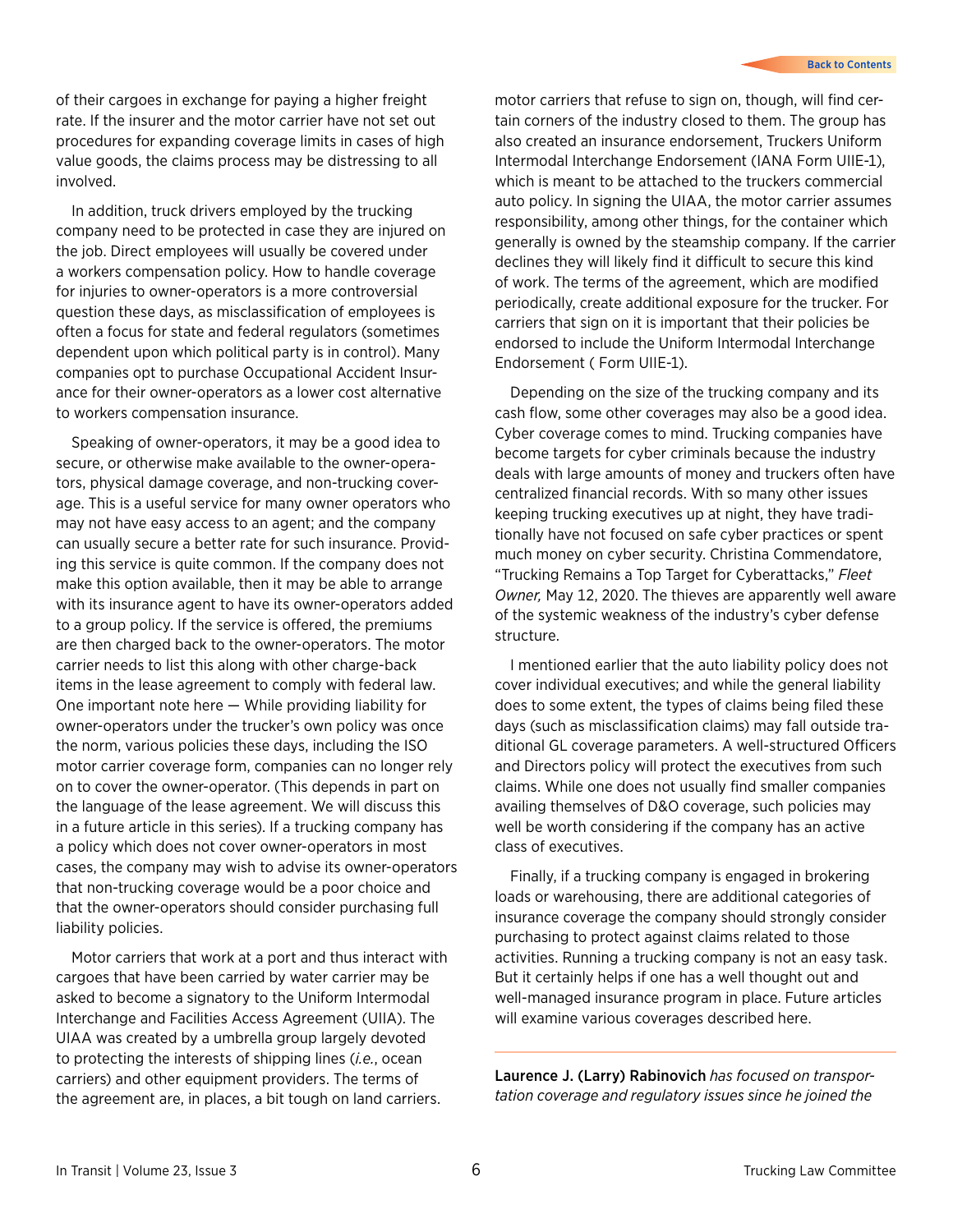of their cargoes in exchange for paying a higher freight rate. If the insurer and the motor carrier have not set out procedures for expanding coverage limits in cases of high value goods, the claims process may be distressing to all involved.

In addition, truck drivers employed by the trucking company need to be protected in case they are injured on the job. Direct employees will usually be covered under a workers compensation policy. How to handle coverage for injuries to owner-operators is a more controversial question these days, as misclassification of employees is often a focus for state and federal regulators (sometimes dependent upon which political party is in control). Many companies opt to purchase Occupational Accident Insurance for their owner-operators as a lower cost alternative to workers compensation insurance.

Speaking of owner-operators, it may be a good idea to secure, or otherwise make available to the owner-operators, physical damage coverage, and non-trucking coverage. This is a useful service for many owner operators who may not have easy access to an agent; and the company can usually secure a better rate for such insurance. Providing this service is quite common. If the company does not make this option available, then it may be able to arrange with its insurance agent to have its owner-operators added to a group policy. If the service is offered, the premiums are then charged back to the owner-operators. The motor carrier needs to list this along with other charge-back items in the lease agreement to comply with federal law. One important note here — While providing liability for owner-operators under the trucker's own policy was once the norm, various policies these days, including the ISO motor carrier coverage form, companies can no longer rely on to cover the owner-operator. (This depends in part on the language of the lease agreement. We will discuss this in a future article in this series). If a trucking company has a policy which does not cover owner-operators in most cases, the company may wish to advise its owner-operators that non-trucking coverage would be a poor choice and that the owner-operators should consider purchasing full liability policies.

Motor carriers that work at a port and thus interact with cargoes that have been carried by water carrier may be asked to become a signatory to the Uniform Intermodal Interchange and Facilities Access Agreement (UIIA). The UIAA was created by a umbrella group largely devoted to protecting the interests of shipping lines (*i.e.*, ocean carriers) and other equipment providers. The terms of the agreement are, in places, a bit tough on land carriers.

motor carriers that refuse to sign on, though, will find certain corners of the industry closed to them. The group has also created an insurance endorsement, Truckers Uniform Intermodal Interchange Endorsement (IANA Form UIIE-1), which is meant to be attached to the truckers commercial auto policy. In signing the UIAA, the motor carrier assumes responsibility, among other things, for the container which generally is owned by the steamship company. If the carrier declines they will likely find it difficult to secure this kind of work. The terms of the agreement, which are modified periodically, create additional exposure for the trucker. For carriers that sign on it is important that their policies be endorsed to include the Uniform Intermodal Interchange Endorsement ( Form UIIE-1).

Depending on the size of the trucking company and its cash flow, some other coverages may also be a good idea. Cyber coverage comes to mind. Trucking companies have become targets for cyber criminals because the industry deals with large amounts of money and truckers often have centralized financial records. With so many other issues keeping trucking executives up at night, they have traditionally have not focused on safe cyber practices or spent much money on cyber security. Christina Commendatore, "Trucking Remains a Top Target for Cyberattacks," *Fleet Owner,* May 12, 2020. The thieves are apparently well aware of the systemic weakness of the industry's cyber defense structure.

I mentioned earlier that the auto liability policy does not cover individual executives; and while the general liability does to some extent, the types of claims being filed these days (such as misclassification claims) may fall outside traditional GL coverage parameters. A well-structured Officers and Directors policy will protect the executives from such claims. While one does not usually find smaller companies availing themselves of D&O coverage, such policies may well be worth considering if the company has an active class of executives.

Finally, if a trucking company is engaged in brokering loads or warehousing, there are additional categories of insurance coverage the company should strongly consider purchasing to protect against claims related to those activities. Running a trucking company is not an easy task. But it certainly helps if one has a well thought out and well-managed insurance program in place. Future articles will examine various coverages described here.

Laurence J. (Larry) Rabinovich *has focused on transportation coverage and regulatory issues since he joined the*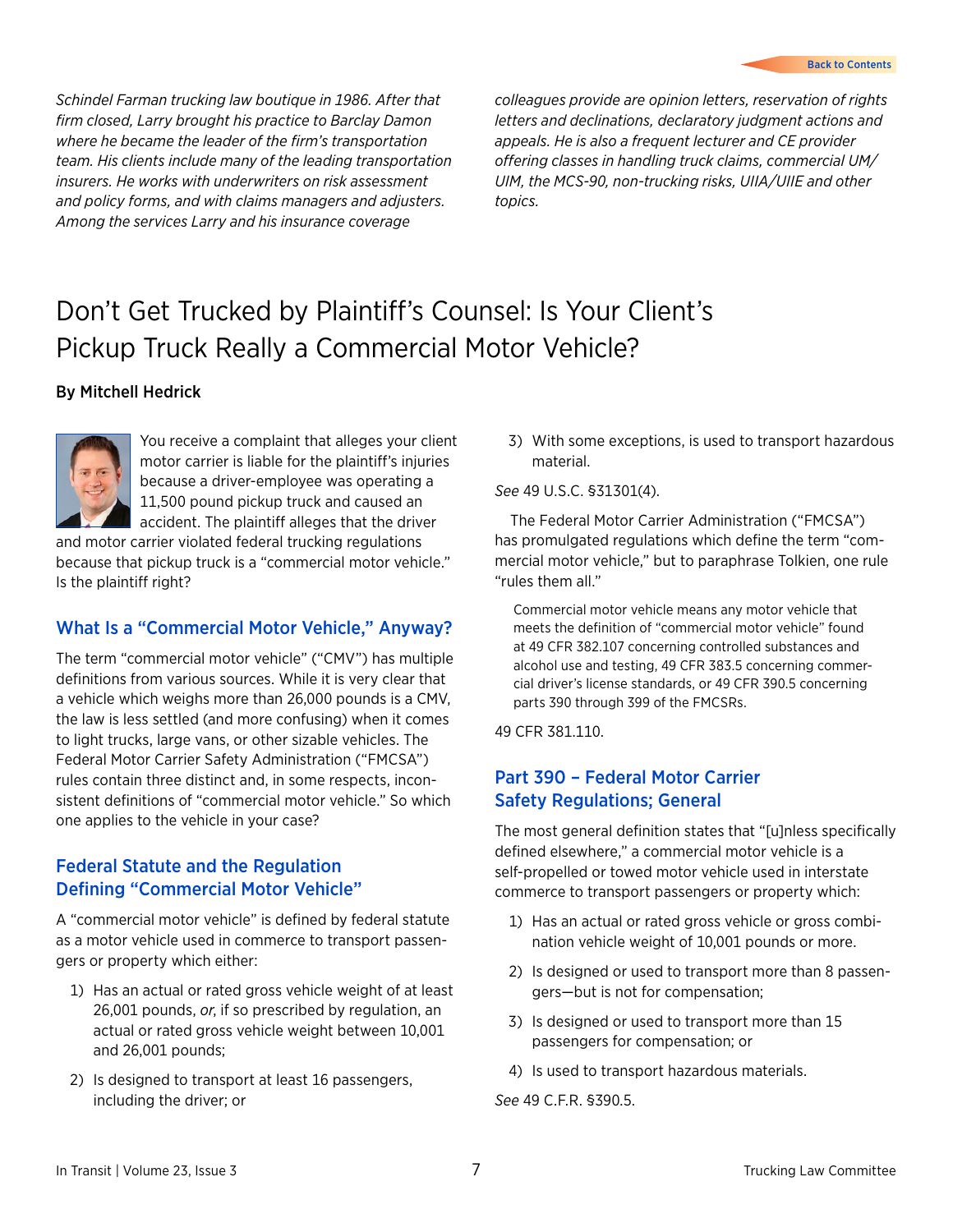<span id="page-6-0"></span>*Schindel Farman trucking law boutique in 1986. After that firm closed, Larry brought his practice to Barclay Damon where he became the leader of the firm's transportation team. His clients include many of the leading transportation insurers. He works with underwriters on risk assessment and policy forms, and with claims managers and adjusters. Among the services Larry and his insurance coverage* 

*colleagues provide are opinion letters, reservation of rights letters and declinations, declaratory judgment actions and appeals. He is also a frequent lecturer and CE provider offering classes in handling truck claims, commercial UM/ UIM, the MCS-90, non-trucking risks, UIIA/UIIE and other topics.*

# Don't Get Trucked by Plaintiff's Counsel: Is Your Client's Pickup Truck Really a Commercial Motor Vehicle?

## By Mitchell Hedrick



You receive a complaint that alleges your client motor carrier is liable for the plaintiff's injuries because a driver-employee was operating a 11,500 pound pickup truck and caused an accident. The plaintiff alleges that the driver

and motor carrier violated federal trucking regulations because that pickup truck is a "commercial motor vehicle." Is the plaintiff right?

# What Is a "Commercial Motor Vehicle," Anyway?

The term "commercial motor vehicle" ("CMV") has multiple definitions from various sources. While it is very clear that a vehicle which weighs more than 26,000 pounds is a CMV, the law is less settled (and more confusing) when it comes to light trucks, large vans, or other sizable vehicles. The Federal Motor Carrier Safety Administration ("FMCSA") rules contain three distinct and, in some respects, inconsistent definitions of "commercial motor vehicle." So which one applies to the vehicle in your case?

# Federal Statute and the Regulation Defining "Commercial Motor Vehicle"

A "commercial motor vehicle" is defined by federal statute as a motor vehicle used in commerce to transport passengers or property which either:

- 1) Has an actual or rated gross vehicle weight of at least 26,001 pounds, *or*, if so prescribed by regulation, an actual or rated gross vehicle weight between 10,001 and 26,001 pounds;
- 2) Is designed to transport at least 16 passengers, including the driver; or

3) With some exceptions, is used to transport hazardous material.

### *See* 49 U.S.C. §31301(4).

The Federal Motor Carrier Administration ("FMCSA") has promulgated regulations which define the term "commercial motor vehicle," but to paraphrase Tolkien, one rule "rules them all."

Commercial motor vehicle means any motor vehicle that meets the definition of "commercial motor vehicle" found at 49 CFR 382.107 concerning controlled substances and alcohol use and testing, 49 CFR 383.5 concerning commercial driver's license standards, or 49 CFR 390.5 concerning parts 390 through 399 of the FMCSRs.

49 CFR 381.110.

# Part 390 – Federal Motor Carrier Safety Regulations; General

The most general definition states that "[u]nless specifically defined elsewhere," a commercial motor vehicle is a self-propelled or towed motor vehicle used in interstate commerce to transport passengers or property which:

- 1) Has an actual or rated gross vehicle or gross combination vehicle weight of 10,001 pounds or more.
- 2) Is designed or used to transport more than 8 passengers—but is not for compensation;
- 3) Is designed or used to transport more than 15 passengers for compensation; or
- 4) Is used to transport hazardous materials.
- *See* 49 C.F.R. §390.5.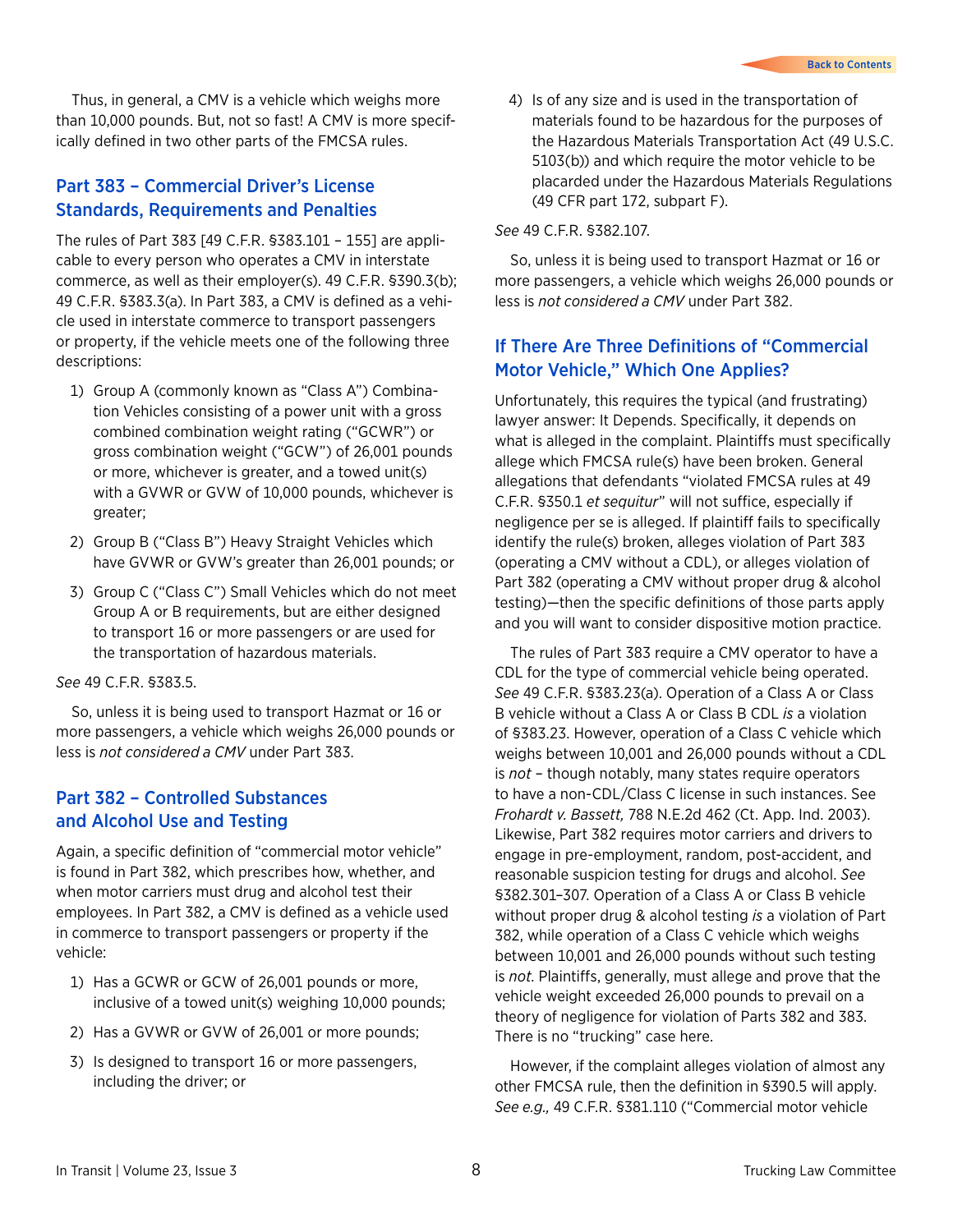Thus, in general, a CMV is a vehicle which weighs more than 10,000 pounds. But, not so fast! A CMV is more specifically defined in two other parts of the FMCSA rules.

## Part 383 – Commercial Driver's License Standards, Requirements and Penalties

The rules of Part 383 [49 C.F.R. §383.101 – 155] are applicable to every person who operates a CMV in interstate commerce, as well as their employer(s). 49 C.F.R. §390.3(b); 49 C.F.R. §383.3(a). In Part 383, a CMV is defined as a vehicle used in interstate commerce to transport passengers or property, if the vehicle meets one of the following three descriptions:

- 1) Group A (commonly known as "Class A") Combination Vehicles consisting of a power unit with a gross combined combination weight rating ("GCWR") or gross combination weight ("GCW") of 26,001 pounds or more, whichever is greater, and a towed unit(s) with a GVWR or GVW of 10,000 pounds, whichever is greater;
- 2) Group B ("Class B") Heavy Straight Vehicles which have GVWR or GVW's greater than 26,001 pounds; or
- 3) Group C ("Class C") Small Vehicles which do not meet Group A or B requirements, but are either designed to transport 16 or more passengers or are used for the transportation of hazardous materials.

*See* 49 C.F.R. §383.5.

So, unless it is being used to transport Hazmat or 16 or more passengers, a vehicle which weighs 26,000 pounds or less is *not considered a CMV* under Part 383.

## Part 382 – Controlled Substances and Alcohol Use and Testing

Again, a specific definition of "commercial motor vehicle" is found in Part 382, which prescribes how, whether, and when motor carriers must drug and alcohol test their employees. In Part 382, a CMV is defined as a vehicle used in commerce to transport passengers or property if the vehicle:

- 1) Has a GCWR or GCW of 26,001 pounds or more, inclusive of a towed unit(s) weighing 10,000 pounds;
- 2) Has a GVWR or GVW of 26,001 or more pounds;
- 3) Is designed to transport 16 or more passengers, including the driver; or

4) Is of any size and is used in the transportation of materials found to be hazardous for the purposes of the Hazardous Materials Transportation Act (49 U.S.C. 5103(b)) and which require the motor vehicle to be placarded under the Hazardous Materials Regulations (49 CFR part 172, subpart F).

*See* 49 C.F.R. §382.107.

So, unless it is being used to transport Hazmat or 16 or more passengers, a vehicle which weighs 26,000 pounds or less is *not considered a CMV* under Part 382.

# If There Are Three Definitions of "Commercial Motor Vehicle," Which One Applies?

Unfortunately, this requires the typical (and frustrating) lawyer answer: It Depends. Specifically, it depends on what is alleged in the complaint. Plaintiffs must specifically allege which FMCSA rule(s) have been broken. General allegations that defendants "violated FMCSA rules at 49 C.F.R. §350.1 *et sequitur*" will not suffice, especially if negligence per se is alleged. If plaintiff fails to specifically identify the rule(s) broken, alleges violation of Part 383 (operating a CMV without a CDL), or alleges violation of Part 382 (operating a CMV without proper drug & alcohol testing)—then the specific definitions of those parts apply and you will want to consider dispositive motion practice.

The rules of Part 383 require a CMV operator to have a CDL for the type of commercial vehicle being operated. *See* 49 C.F.R. §383.23(a). Operation of a Class A or Class B vehicle without a Class A or Class B CDL *is* a violation of §383.23. However, operation of a Class C vehicle which weighs between 10,001 and 26,000 pounds without a CDL is *not* – though notably, many states require operators to have a non-CDL/Class C license in such instances. See *Frohardt v. Bassett,* 788 N.E.2d 462 (Ct. App. Ind. 2003). Likewise, Part 382 requires motor carriers and drivers to engage in pre-employment, random, post-accident, and reasonable suspicion testing for drugs and alcohol. *See* §382.301–307. Operation of a Class A or Class B vehicle without proper drug & alcohol testing *is* a violation of Part 382, while operation of a Class C vehicle which weighs between 10,001 and 26,000 pounds without such testing is *not*. Plaintiffs, generally, must allege and prove that the vehicle weight exceeded 26,000 pounds to prevail on a theory of negligence for violation of Parts 382 and 383. There is no "trucking" case here.

However, if the complaint alleges violation of almost any other FMCSA rule, then the definition in §390.5 will apply. *See e.g.,* 49 C.F.R. §381.110 ("Commercial motor vehicle